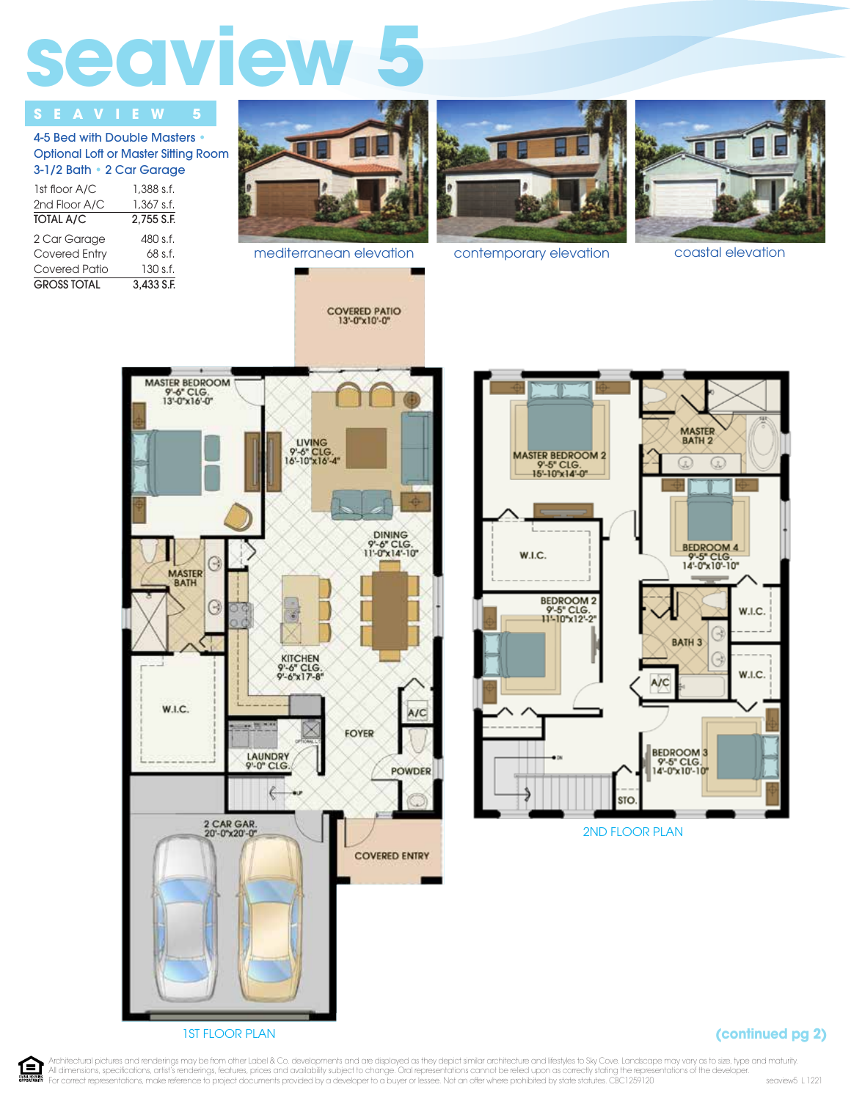## seaview

## **SEAVIEW**

4-5 Bed with Double Masters • Optional Loft or Master Sitting Room 3-1/2 Bath • 2 Car Garage

| 1st floor A/C        | 1,388 s.f. |
|----------------------|------------|
| 2nd Floor A/C        | 1,367 s.f. |
| <b>TOTAL A/C</b>     | 2.755 S.F. |
| 2 Car Garage         | 480 s.f.   |
| <b>Covered Entry</b> | 68 s.f.    |
| Covered Patio        | 130 s.f.   |
| <b>GROSS TOTAL</b>   | 3.433 S.F. |



mediterranean elevation contemporary elevation coastal elevation









## **(continued pg 2)**

1=1 **COUNT HOUSING** 

Architectural pictures and renderings may be from other Label & Co. developments and are displayed as they depict similar architecture and lifestyles to Sky Cove. Landscape may vary as to size, type and maturity. All dimensions, specifications, artist's renderings, features, prices and availability subject to change. Oral representations cannot be relied upon as correctly stating the representations of the developer.